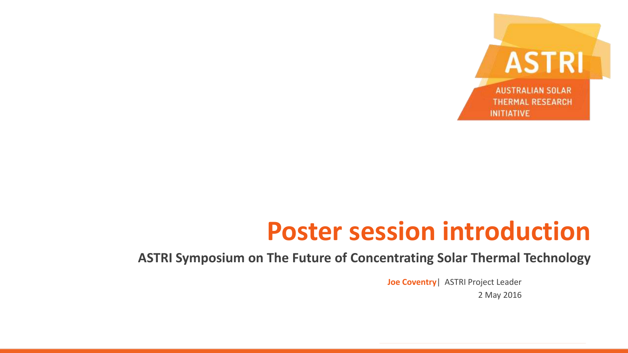

# **Poster session introduction**

#### **ASTRI Symposium on The Future of Concentrating Solar Thermal Technology**

**Joe Coventry**| ASTRI Project Leader 2 May 2016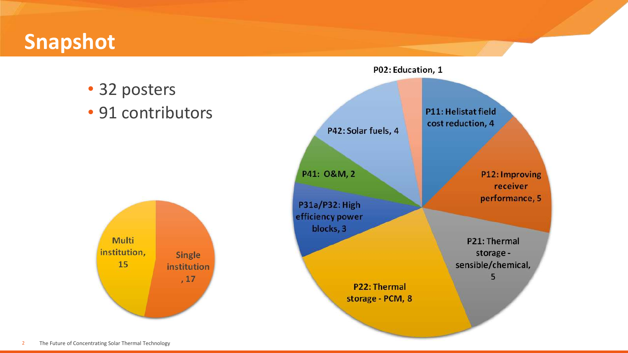# **Snapshot**

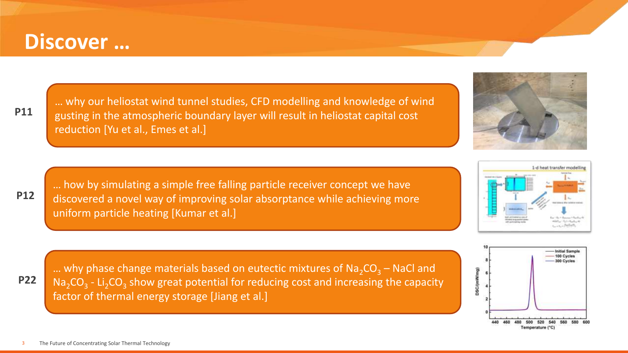### **Discover …**

**P11**

**P12**

3

… why our heliostat wind tunnel studies, CFD modelling and knowledge of wind gusting in the atmospheric boundary layer will result in heliostat capital cost reduction [Yu et al., Emes et al.]

… how by simulating a simple free falling particle receiver concept we have discovered a novel way of improving solar absorptance while achieving more uniform particle heating [Kumar et al.]



100 Cycles 300 Cycles DSC/(mW/mg) 460 480 500 520 540

Temperature ("C

**Initial Sampi** 





The Future of Concentrating Solar Thermal Technology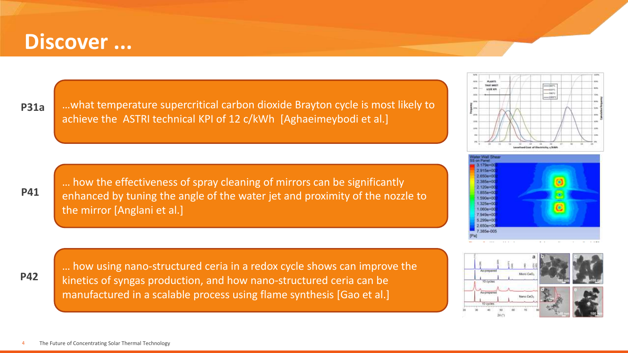#### **Discover ...**

**P31a**

**P41**

…what temperature supercritical carbon dioxide Brayton cycle is most likely to achieve the ASTRI technical KPI of 12 c/kWh [Aghaeimeybodi et al.]

… how the effectiveness of spray cleaning of mirrors can be significantly enhanced by tuning the angle of the water jet and proximity of the nozzle to the mirror [Anglani et al.]





**P42**

… how using nano-structured ceria in a redox cycle shows can improve the kinetics of syngas production, and how nano-structured ceria can be manufactured in a scalable process using flame synthesis [Gao et al.]